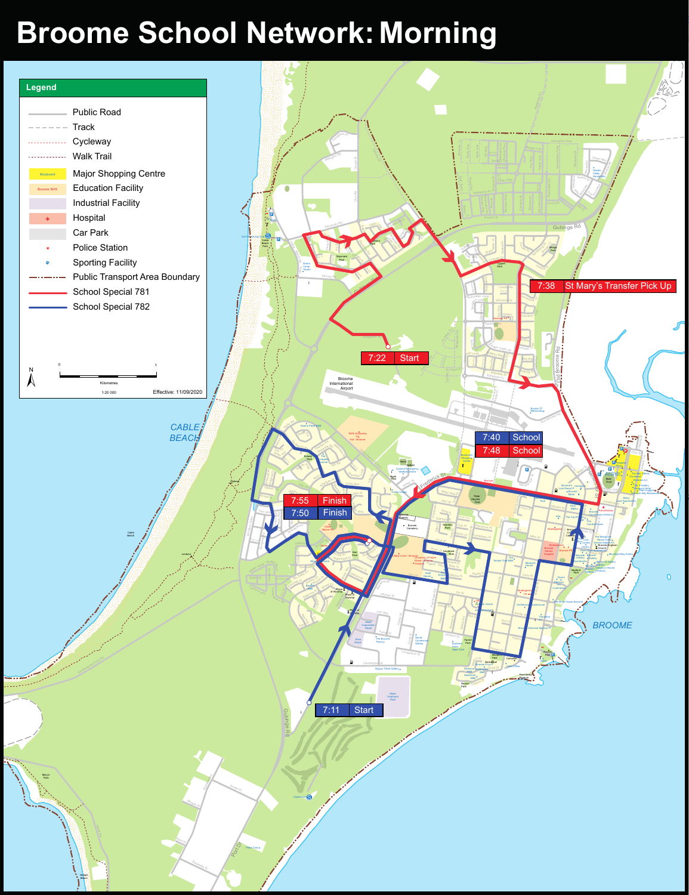## Broome School Network: Morning

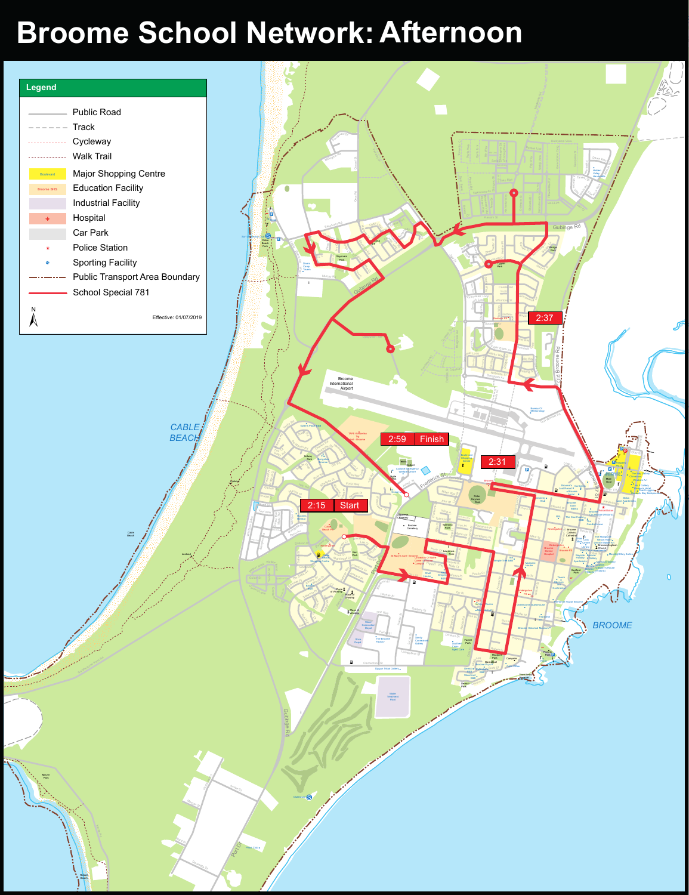## Broome School Network: Afternoon